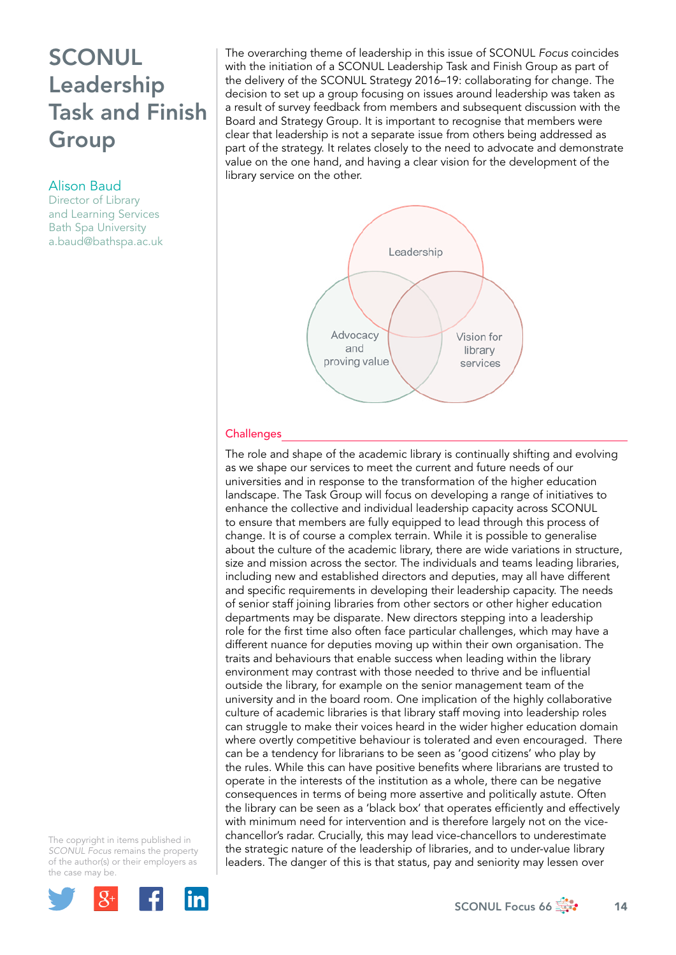# **SCONUL** Leadership Task and Finish **Group**

### Alison Baud

Director of Library and Learning Services Bath Spa University [a.baud@bathspa.ac.uk](mailto:a.baud@bathspa.ac.uk) The overarching theme of leadership in this issue of SCONUL *Focus* coincides with the initiation of a SCONUL Leadership Task and Finish Group as part of the delivery of the SCONUL Strategy 2016–19: collaborating for change. The decision to set up a group focusing on issues around leadership was taken as a result of survey feedback from members and subsequent discussion with the Board and Strategy Group. It is important to recognise that members were clear that leadership is not a separate issue from others being addressed as part of the strategy. It relates closely to the need to advocate and demonstrate value on the one hand, and having a clear vision for the development of the library service on the other.



### **Challenges**

The role and shape of the academic library is continually shifting and evolving as we shape our services to meet the current and future needs of our universities and in response to the transformation of the higher education landscape. The Task Group will focus on developing a range of initiatives to enhance the collective and individual leadership capacity across SCONUL to ensure that members are fully equipped to lead through this process of change. It is of course a complex terrain. While it is possible to generalise about the culture of the academic library, there are wide variations in structure, size and mission across the sector. The individuals and teams leading libraries, including new and established directors and deputies, may all have different and specific requirements in developing their leadership capacity. The needs of senior staff joining libraries from other sectors or other higher education departments may be disparate. New directors stepping into a leadership role for the first time also often face particular challenges, which may have a different nuance for deputies moving up within their own organisation. The traits and behaviours that enable success when leading within the library environment may contrast with those needed to thrive and be influential outside the library, for example on the senior management team of the university and in the board room. One implication of the highly collaborative culture of academic libraries is that library staff moving into leadership roles can struggle to make their voices heard in the wider higher education domain where overtly competitive behaviour is tolerated and even encouraged. There can be a tendency for librarians to be seen as 'good citizens' who play by the rules. While this can have positive benefits where librarians are trusted to operate in the interests of the institution as a whole, there can be negative consequences in terms of being more assertive and politically astute. Often the library can be seen as a 'black box' that operates efficiently and effectively with minimum need for intervention and is therefore largely not on the vicechancellor's radar. Crucially, this may lead vice-chancellors to underestimate the strategic nature of the leadership of libraries, and to under-value library leaders. The danger of this is that status, pay and seniority may lessen over

The copyright in items published in *SCONUL Focus* remains the property of the author(s) or their employers as the case may be.